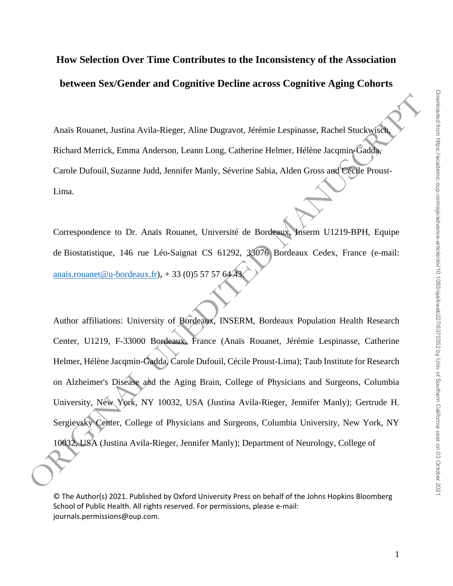# **How Selection Over Time Contributes to the Inconsistency of the Association between Sex/Gender and Cognitive Decline across Cognitive Aging Cohorts**

Anaïs Rouanet, Justina Avila-Rieger, Aline Dugravot, Jérémie Lespinasse, Rachel Stuckwisch, Richard Merrick, Emma Anderson, Leann Long, Catherine Helmer, Hélène Jacqmin-Gadda, Carole Dufouil, Suzanne Judd, Jennifer Manly, Séverine Sabia, Alden Gross and Cécile Proust-Lima.

Correspondence to Dr. Anaïs Rouanet, Université de Bordeaux, Inserm U1219-BPH, Equipe de Biostatistique, 146 rue Léo-Saignat CS 61292, 33076 Bordeaux Cedex, France (e-mail: anais.rouanet@u-bordeaux.fr),  $+ 33 (0)5 57 57 64.4$ 

Author affiliations: University of Bordeaux, INSERM, Bordeaux Population Health Research Center, U1219, F-33000 Bordeaux, France (Anaïs Rouanet, Jérémie Lespinasse, Catherine Helmer, Hélène Jacqmin-Gadda, Carole Dufouil, Cécile Proust-Lima); Taub Institute for Research on Alzheimer's Disease and the Aging Brain, College of Physicians and Surgeons, Columbia University, New York, NY 10032, USA (Justina Avila-Rieger, Jennifer Manly); Gertrude H. Sergievsky Center, College of Physicians and Surgeons, Columbia University, New York, NY Anais Romanet, Justina Avila-Rieger, Aline Dingravot, Jérémie Lespinasse, Rachel Snokwisch,<br>
Richard Merrick, Emma Anderson, Leann Long, Catherine Helmer, Hélien Jacquina Cauda<br>
Carole Dufouil, Suzume Judd, Jennifer Manly,

© The Author(s) 2021. Published by Oxford University Press on behalf of the Johns Hopkins Bloomberg School of Public Health. All rights reserved. For permissions, please e-mail: journals.permissions@oup.com.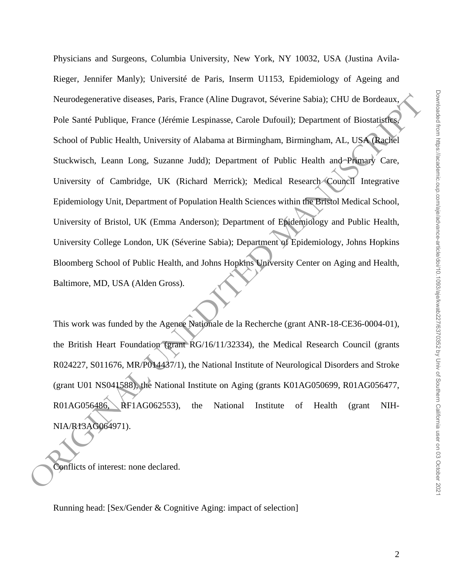Physicians and Surgeons, Columbia University, New York, NY 10032, USA (Justina Avila-Rieger, Jennifer Manly); Université de Paris, Inserm U1153, Epidemiology of Ageing and Neurodegenerative diseases, Paris, France (Aline Dugravot, Séverine Sabia); CHU de Bordeaux, Pole Santé Publique, France (Jérémie Lespinasse, Carole Dufouil); Department of Biostatistics, School of Public Health, University of Alabama at Birmingham, Birmingham, AL, USA (Rachel Stuckwisch, Leann Long, Suzanne Judd); Department of Public Health and Primary Care, University of Cambridge, UK (Richard Merrick); Medical Research Council Integrative Epidemiology Unit, Department of Population Health Sciences within the Bristol Medical School, University of Bristol, UK (Emma Anderson); Department of Epidemiology and Public Health, University College London, UK (Séverine Sabia); Department of Epidemiology, Johns Hopkins Bloomberg School of Public Health, and Johns Hopkins University Center on Aging and Health, Baltimore, MD, USA (Alden Gross). Neurodegenerative diseases, Paris, France (Aline Dugravor, Séverine Sabia); CHU de Brotesuax,<br>
Pole Santé Publique, France (Jérémie Lespinasec, Carole Dufouil); Department of Biostuisfus;<br>
School of Public Health, Universi

This work was funded by the Agence Nationale de la Recherche (grant ANR-18-CE36-0004-01), the British Heart Foundation (grant RG/16/11/32334), the Medical Research Council (grants R024227, S011676, MR/P014437/1), the National Institute of Neurological Disorders and Stroke (grant U01 NS041588), the National Institute on Aging (grants K01AG050699, R01AG056477, R01AG056486, RF1AG062553), the National Institute of Health (grant NIH-NIA/R13AG064971).

Conflicts of interest: none declared.

Running head: [Sex/Gender & Cognitive Aging: impact of selection]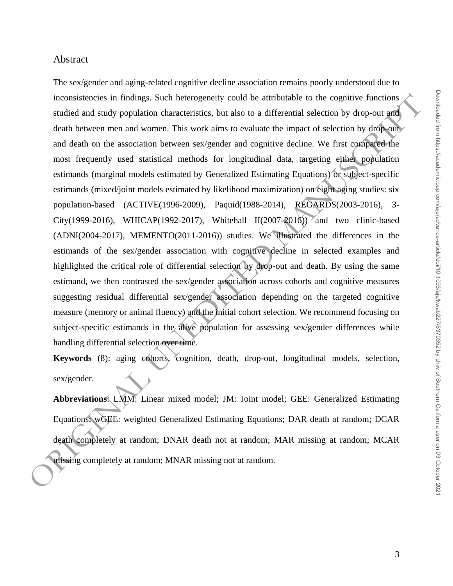#### Abstract

The sex/gender and aging-related cognitive decline association remains poorly understood due to inconsistencies in findings. Such heterogeneity could be attributable to the cognitive functions studied and study population characteristics, but also to a differential selection by drop-out and death between men and women. This work aims to evaluate the impact of selection by drop-out and death on the association between sex/gender and cognitive decline. We first compared the most frequently used statistical methods for longitudinal data, targeting either population estimands (marginal models estimated by Generalized Estimating Equations) or subject-specific estimands (mixed/joint models estimated by likelihood maximization) on eight aging studies: six population-based (ACTIVE(1996-2009), Paquid(1988-2014), REGARDS(2003-2016), 3- City(1999-2016), WHICAP(1992-2017), Whitehall II(2007-2016)) and two clinic-based (ADNI(2004-2017), MEMENTO(2011-2016)) studies. We illustrated the differences in the estimands of the sex/gender association with cognitive decline in selected examples and highlighted the critical role of differential selection by drop-out and death. By using the same estimand, we then contrasted the sex/gender association across cohorts and cognitive measures suggesting residual differential sex/gender association depending on the targeted cognitive measure (memory or animal fluency) and the initial cohort selection. We recommend focusing on subject-specific estimands in the alive population for assessing sex/gender differences while handling differential selection over time. inconsistencies in findings. Such heterogeneity could be attributable to the cognitive functions<br>studied and study oppolation characteristics, but also to a differential selection by drop-out<br>and death or the association b

**Keywords** (8): aging cohorts, cognition, death, drop-out, longitudinal models, selection, sex/gender.

**Abbreviations**: LMM: Linear mixed model; JM: Joint model; GEE: Generalized Estimating Equations; wGEE: weighted Generalized Estimating Equations; DAR death at random; DCAR death completely at random; DNAR death not at random; MAR missing at random; MCAR missing completely at random; MNAR missing not at random.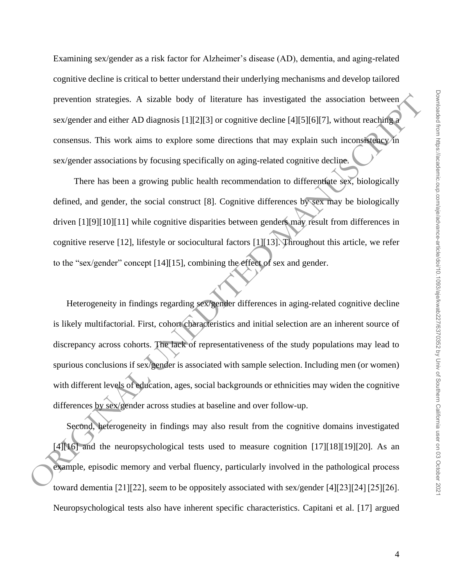Examining sex/gender as a risk factor for Alzheimer's disease (AD), dementia, and aging-related cognitive decline is critical to better understand their underlying mechanisms and develop tailored prevention strategies. A sizable body of literature has investigated the association between sex/gender and either AD diagnosis [1][2][3] or cognitive decline [4][5][6][7], without reaching a consensus. This work aims to explore some directions that may explain such inconsistency in sex/gender associations by focusing specifically on aging-related cognitive decline.

There has been a growing public health recommendation to differentiate sex, biologically defined, and gender, the social construct [8]. Cognitive differences by sex may be biologically driven [1][9][10][11] while cognitive disparities between genders may result from differences in cognitive reserve [12], lifestyle or sociocultural factors [1][13]. Throughout this article, we refer to the "sex/gender" concept [14][15], combining the effect of sex and gender.

Heterogeneity in findings regarding sex/gender differences in aging-related cognitive decline is likely multifactorial. First, cohort characteristics and initial selection are an inherent source of discrepancy across cohorts. The lack of representativeness of the study populations may lead to spurious conclusions if sex/gender is associated with sample selection. Including men (or women) with different levels of education, ages, social backgrounds or ethnicities may widen the cognitive differences by sex/gender across studies at baseline and over follow-up. provention strategies. A sizable body of literature has investigated the association between<br>sex/gender and either Al) diagnosis  $|11|21|3|$  or exaptivize decline  $|41|5|16|17|$ , without reaching<br>consensus. This work ains

Second, heterogeneity in findings may also result from the cognitive domains investigated [4][16] and the neuropsychological tests used to measure cognition [17][18][19][20]. As an example, episodic memory and verbal fluency, particularly involved in the pathological process toward dementia [21][22], seem to be oppositely associated with sex/gender [4][23][24] [25][26]. Neuropsychological tests also have inherent specific characteristics. Capitani et al. [17] argued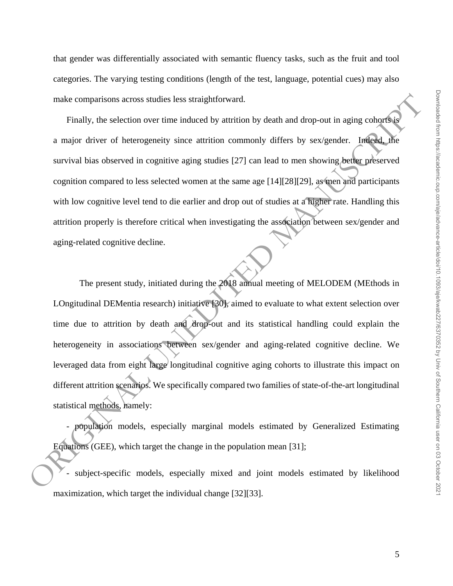that gender was differentially associated with semantic fluency tasks, such as the fruit and tool categories. The varying testing conditions (length of the test, language, potential cues) may also make comparisons across studies less straightforward.

Finally, the selection over time induced by attrition by death and drop-out in aging cohorts is a major driver of heterogeneity since attrition commonly differs by sex/gender. Indeed, the survival bias observed in cognitive aging studies [27] can lead to men showing better preserved cognition compared to less selected women at the same age [14][28][29], as men and participants with low cognitive level tend to die earlier and drop out of studies at a higher rate. Handling this attrition properly is therefore critical when investigating the association between sex/gender and aging-related cognitive decline. studies less straightforward.<br>
over time induced by attrition by death and drop-out in aging cohorfs and<br>
geneity since attrition commonly differs by sex/gender. Indeed, the<br>
cognitive aging studies [27] can lead to men sh

The present study, initiated during the 2018 annual meeting of MELODEM (MEthods in LOngitudinal DEMentia research) initiative [30], aimed to evaluate to what extent selection over time due to attrition by death and drop-out and its statistical handling could explain the heterogeneity in associations between sex/gender and aging-related cognitive decline. We leveraged data from eight large longitudinal cognitive aging cohorts to illustrate this impact on different attrition scenarios. We specifically compared two families of state-of-the-art longitudinal statistical methods, namely: different attrition scenarios. We specifically compared two families of state-of-the-art longitudinal<br>statistical methods, hamely:<br>- population models, especially marginal models estimated by Generalized Estimating<br>Equatio

- population models, especially marginal models estimated by Generalized Estimating Equations (GEE), which target the change in the population mean [31];

maximization, which target the individual change [32][33].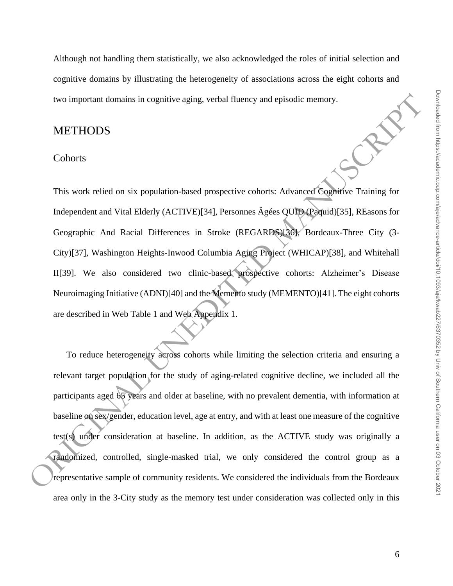Although not handling them statistically, we also acknowledged the roles of initial selection and cognitive domains by illustrating the heterogeneity of associations across the eight cohorts and two important domains in cognitive aging, verbal fluency and episodic memory.

### **METHODS**

#### **Cohorts**

This work relied on six population-based prospective cohorts: Advanced Cognitive Training for Independent and Vital Elderly (ACTIVE)[34], Personnes Âgées QUID (Paquid)[35], REasons for Geographic And Racial Differences in Stroke (REGARDS)[36], Bordeaux-Three City (3- City)[37], Washington Heights-Inwood Columbia Aging Project (WHICAP)[38], and Whitehall II[39]. We also considered two clinic-based prospective cohorts: Alzheimer's Disease Neuroimaging Initiative (ADNI)[40] and the Memento study (MEMENTO)[41]. The eight cohorts are described in Web Table 1 and Web Appendix 1. cognitive aging, verbal fluency and episodic memory.<br>
solution-based prospective cohorts: Advanced Cognitive Training for<br>
derly (ACTIVE)[34], Personnes Âgées QUID (Paquid)[35], REasons for<br>
Differences in Stroke (REGARDS)

To reduce heterogeneity across cohorts while limiting the selection criteria and ensuring a relevant target population for the study of aging-related cognitive decline, we included all the participants aged 65 years and older at baseline, with no prevalent dementia, with information at baseline on sex/gender, education level, age at entry, and with at least one measure of the cognitive test(s) under consideration at baseline. In addition, as the ACTIVE study was originally a randomized, controlled, single-masked trial, we only considered the control group as a relevant target population for the study of aging-related cognitive decline, we included all the participants aged 65 years and older at baseline, with no prevalent dementia, with information at baseline of sex/gender, edu area only in the 3-City study as the memory test under consideration was collected only in this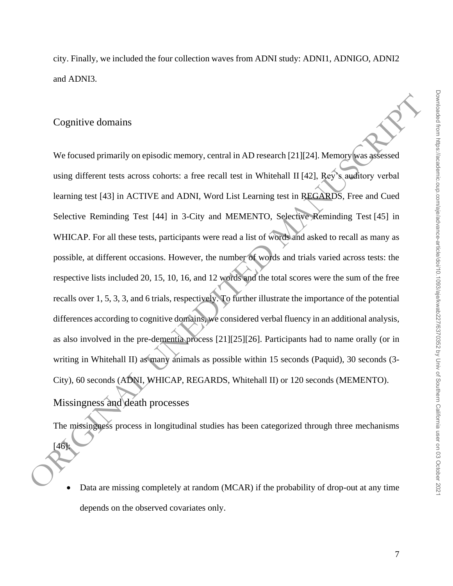city. Finally, we included the four collection waves from ADNI study: ADNI1, ADNIGO, ADNI2 and ADNI3.

#### Cognitive domains

We focused primarily on episodic memory, central in AD research [21][24]. Memory was assessed using different tests across cohorts: a free recall test in Whitehall II [42], Rey's auditory verbal learning test [43] in ACTIVE and ADNI, Word List Learning test in REGARDS, Free and Cued Selective Reminding Test [44] in 3-City and MEMENTO, Selective Reminding Test [45] in WHICAP. For all these tests, participants were read a list of words and asked to recall as many as possible, at different occasions. However, the number of words and trials varied across tests: the respective lists included 20, 15, 10, 16, and 12 words and the total scores were the sum of the free recalls over 1, 5, 3, 3, and 6 trials, respectively. To further illustrate the importance of the potential differences according to cognitive domains, we considered verbal fluency in an additional analysis, as also involved in the pre-dementia process [21][25][26]. Participants had to name orally (or in writing in Whitehall II) as many animals as possible within 15 seconds (Paquid), 30 seconds (3- City), 60 seconds (ADNI, WHICAP, REGARDS, Whitehall II) or 120 seconds (MEMENTO). Missingness and death processes Cognitive domains<br>We focused primarily on episodic memory, central in AD research [21][24]. Memory was assessed<br>using different rests scross cohors: a free recall test in Whitehall 11/421, Roy, Saudinoy vorbal<br>learning tes

The missingness process in longitudinal studies has been categorized through three mechanisms [46]:

 Data are missing completely at random (MCAR) if the probability of drop-out at any time depends on the observed covariates only.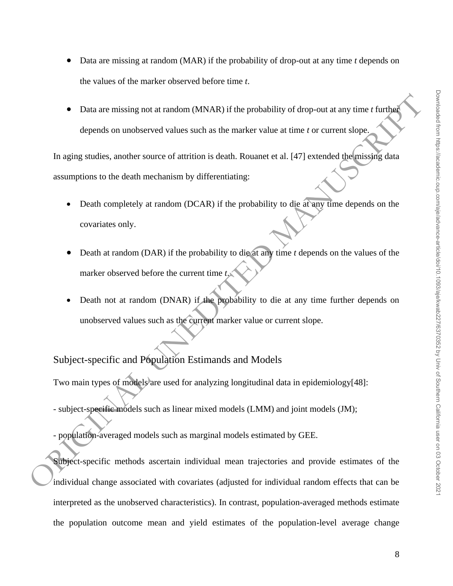- Data are missing at random (MAR) if the probability of drop-out at any time *t* depends on the values of the marker observed before time *t*.
- Data are missing not at random (MNAR) if the probability of drop-out at any time *t* further depends on unobserved values such as the marker value at time *t* or current slope.

In aging studies, another source of attrition is death. Rouanet et al. [47] extended the missing data assumptions to the death mechanism by differentiating:

- Death completely at random (DCAR) if the probability to die at any time depends on the covariates only.
- Death at random (DAR) if the probability to die at any time *t* depends on the values of the marker observed before the current time *t*.
- Death not at random (DNAR) if the probability to die at any time further depends on unobserved values such as the current marker value or current slope.

# Subject-specific and Population Estimands and Models

Two main types of models are used for analyzing longitudinal data in epidemiology[48]:

- subject-specific models such as linear mixed models (LMM) and joint models (JM);

- population-averaged models such as marginal models estimated by GEE.

Subject-specific methods ascertain individual mean trajectories and provide estimates of the individual change associated with covariates (adjusted for individual random effects that can be interpreted as the unobserved characteristics). In contrast, population-averaged methods estimate the population outcome mean and yield estimates of the population-level average change • Data are missing not at random (MNAR) if the probability of drop-out at any time r further<br>depends on unobserved values such as the marker value at time *i* or current slope.<br>In aging studies, another source of attriti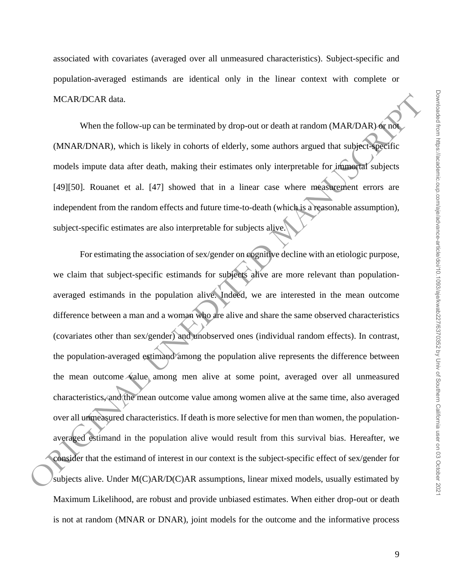associated with covariates (averaged over all unmeasured characteristics). Subject-specific and population-averaged estimands are identical only in the linear context with complete or MCAR/DCAR data.

When the follow-up can be terminated by drop-out or death at random (MAR/DAR) or not (MNAR/DNAR), which is likely in cohorts of elderly, some authors argued that subject-specific models impute data after death, making their estimates only interpretable for immortal subjects [49][50]. Rouanet et al. [47] showed that in a linear case where measurement errors are independent from the random effects and future time-to-death (which is a reasonable assumption), subject-specific estimates are also interpretable for subjects alive.

For estimating the association of sex/gender on cognitive decline with an etiologic purpose, we claim that subject-specific estimands for subjects alive are more relevant than populationaveraged estimands in the population alive. Indeed, we are interested in the mean outcome difference between a man and a woman who are alive and share the same observed characteristics (covariates other than sex/gender) and unobserved ones (individual random effects). In contrast, the population-averaged estimand among the population alive represents the difference between the mean outcome value among men alive at some point, averaged over all unmeasured characteristics, and the mean outcome value among women alive at the same time, also averaged over all unmeasured characteristics. If death is more selective for men than women, the populationaveraged estimand in the population alive would result from this survival bias. Hereafter, we consider that the estimand of interest in our context is the subject-specific effect of sex/gender for subjects alive. Under M(C)AR/D(C)AR assumptions, linear mixed models, usually estimated by Maximum Likelihood, are robust and provide unbiased estimates. When either drop-out or death is not at random (MNAR or DNAR), joint models for the outcome and the informative process MCAR/DCAR data.<br>
When the follow-up can be terminated by drop-out or death at random (MAR/DAR) or more (MNAR/DAR), which is tikely in cohorts of elderly, some authors argued that subject appear (MNAR/DNAR), which is tikel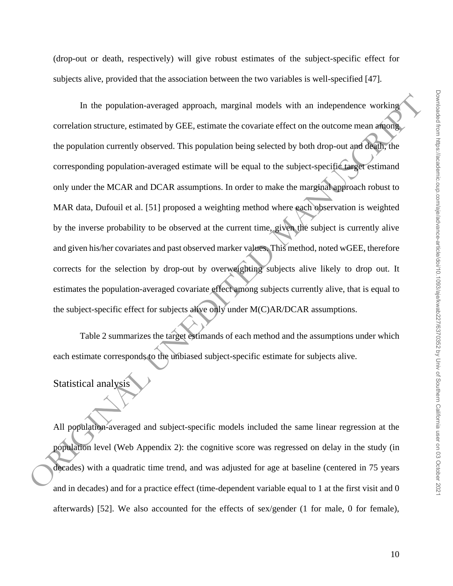(drop-out or death, respectively) will give robust estimates of the subject-specific effect for subjects alive, provided that the association between the two variables is well-specified [47].

In the population-averaged approach, marginal models with an independence working correlation structure, estimated by GEE, estimate the covariate effect on the outcome mean among the population currently observed. This population being selected by both drop-out and death, the corresponding population-averaged estimate will be equal to the subject-specific target estimand only under the MCAR and DCAR assumptions. In order to make the marginal approach robust to MAR data, Dufouil et al. [51] proposed a weighting method where each observation is weighted by the inverse probability to be observed at the current time, given the subject is currently alive and given his/her covariates and past observed marker values. This method, noted wGEE, therefore corrects for the selection by drop-out by overweighting subjects alive likely to drop out. It estimates the population-averaged covariate effect among subjects currently alive, that is equal to the subject-specific effect for subjects alive only under M(C)AR/DCAR assumptions. In the population-averaged approach, marginal models with an independence working<br>correlation structure, estimated by GEE, estimate the covariate effect on the outcome mean among<br>the population currently observed. This pop

Table 2 summarizes the target estimands of each method and the assumptions under which each estimate corresponds to the unbiased subject-specific estimate for subjects alive.

Statistical analysis

All population-averaged and subject-specific models included the same linear regression at the population level (Web Appendix 2): the cognitive score was regressed on delay in the study (in decades) with a quadratic time trend, and was adjusted for age at baseline (centered in 75 years and in decades) and for a practice effect (time-dependent variable equal to 1 at the first visit and 0 afterwards) [52]. We also accounted for the effects of sex/gender (1 for male, 0 for female),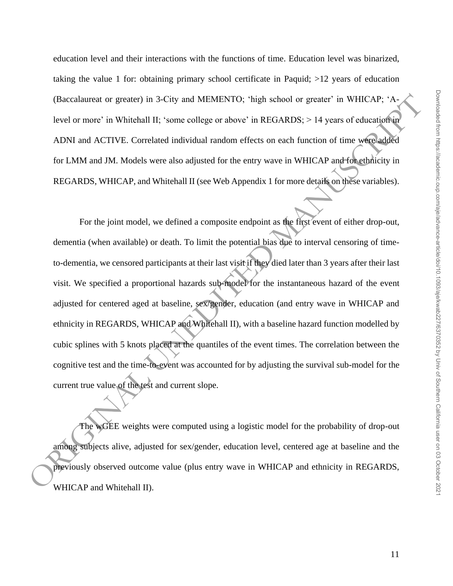education level and their interactions with the functions of time. Education level was binarized, taking the value 1 for: obtaining primary school certificate in Paquid; >12 years of education (Baccalaureat or greater) in 3-City and MEMENTO; 'high school or greater' in WHICAP; 'Alevel or more' in Whitehall II; 'some college or above' in REGARDS; > 14 years of education in ADNI and ACTIVE. Correlated individual random effects on each function of time were added for LMM and JM. Models were also adjusted for the entry wave in WHICAP and for ethnicity in REGARDS, WHICAP, and Whitehall II (see Web Appendix 1 for more details on these variables).

For the joint model, we defined a composite endpoint as the first event of either drop-out, dementia (when available) or death. To limit the potential bias due to interval censoring of timeto-dementia, we censored participants at their last visit if they died later than 3 years after their last visit. We specified a proportional hazards sub-model for the instantaneous hazard of the event adjusted for centered aged at baseline, sex/gender, education (and entry wave in WHICAP and ethnicity in REGARDS, WHICAP and Whitehall II), with a baseline hazard function modelled by cubic splines with 5 knots placed at the quantiles of the event times. The correlation between the cognitive test and the time-to-event was accounted for by adjusting the survival sub-model for the current true value of the test and current slope. in 3-City and MEMENTO; 'high school or greater' in WHICAP; 'A-<br>
ill II; 'some college or above' in REGARDS; > 14 years of education in<br>
related individual random effects on each function of time were added<br>
s were also adj

The wGEE weights were computed using a logistic model for the probability of drop-out among subjects alive, adjusted for sex/gender, education level, centered age at baseline and the explant true value of the test and current slope.<br>
The wGEE weights were computed using a logistic model for the probability of drop-out<br>
among subjects alive, adjusted for sex/gender, education level, centered age at base WHICAP and Whitehall II).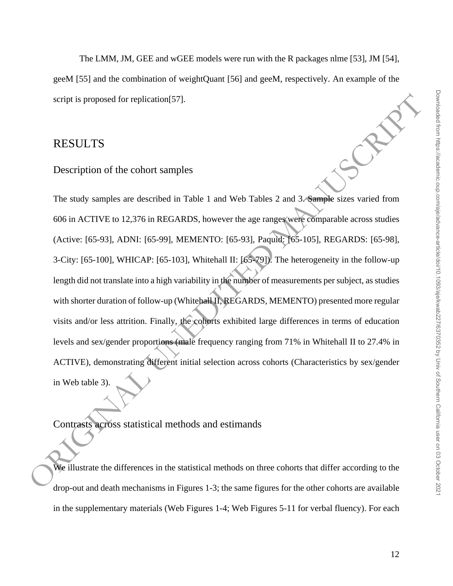The LMM, JM, GEE and wGEE models were run with the R packages nlme [53], JM [54], geeM [55] and the combination of weightQuant [56] and geeM, respectively. An example of the script is proposed for replication[57].

### RESULTS

#### Description of the cohort samples

The study samples are described in Table 1 and Web Tables 2 and 3. Sample sizes varied from 606 in ACTIVE to 12,376 in REGARDS, however the age ranges were comparable across studies (Active: [65-93], ADNI: [65-99], MEMENTO: [65-93], Paquid: [65-105], REGARDS: [65-98], 3-City: [65-100], WHICAP: [65-103], Whitehall II: [65-79]). The heterogeneity in the follow-up length did not translate into a high variability in the number of measurements per subject, as studies with shorter duration of follow-up (Whitehall II, REGARDS, MEMENTO) presented more regular visits and/or less attrition. Finally, the cohorts exhibited large differences in terms of education levels and sex/gender proportions (male frequency ranging from 71% in Whitehall II to 27.4% in ACTIVE), demonstrating different initial selection across cohorts (Characteristics by sex/gender in Web table 3). script is proposed for replication [57].<br>
RESULTS<br>
Description of the cohort samples<br>
The study samples are described in Table 1 and Web Tables 2 and 3.4 simple sizes varied from<br>
606 in ACTIVE to 12,376 in REGARDS, howev

Contrasts across statistical methods and estimands

We illustrate the differences in the statistical methods on three cohorts that differ according to the drop-out and death mechanisms in Figures 1-3; the same figures for the other cohorts are available in the supplementary materials (Web Figures 1-4; Web Figures 5-11 for verbal fluency). For each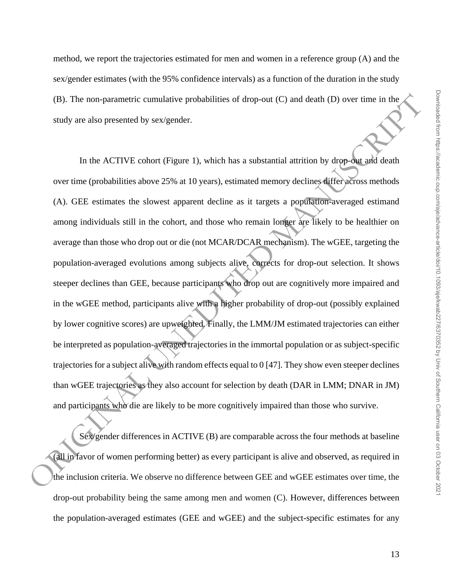method, we report the trajectories estimated for men and women in a reference group (A) and the sex/gender estimates (with the 95% confidence intervals) as a function of the duration in the study (B). The non-parametric cumulative probabilities of drop-out (C) and death (D) over time in the study are also presented by sex/gender.

In the ACTIVE cohort (Figure 1), which has a substantial attrition by drop-out and death over time (probabilities above 25% at 10 years), estimated memory declines differ across methods (A). GEE estimates the slowest apparent decline as it targets a population-averaged estimand among individuals still in the cohort, and those who remain longer are likely to be healthier on average than those who drop out or die (not MCAR/DCAR mechanism). The wGEE, targeting the population-averaged evolutions among subjects alive, corrects for drop-out selection. It shows steeper declines than GEE, because participants who drop out are cognitively more impaired and in the wGEE method, participants alive with a higher probability of drop-out (possibly explained by lower cognitive scores) are upweighted. Finally, the LMM/JM estimated trajectories can either be interpreted as population-averaged trajectories in the immortal population or as subject-specific trajectories for a subject alive with random effects equal to 0 [47]. They show even steeper declines than wGEE trajectories as they also account for selection by death (DAR in LMM; DNAR in JM) and participants who die are likely to be more cognitively impaired than those who survive. (B). The non-parametric cumulative probabilities of drop-nut (C) and death (D) over time in the study are also presented by sexigender.<br>
In the ACTIVE cohort (Figure 1), which has a substantial autrition by drop-buyard de

Sex/gender differences in ACTIVE (B) are comparable across the four methods at baseline (all in favor of women performing better) as every participant is alive and observed, as required in the inclusion criteria. We observe no difference between GEE and wGEE estimates over time, the drop-out probability being the same among men and women (C). However, differences between the population-averaged estimates (GEE and wGEE) and the subject-specific estimates for any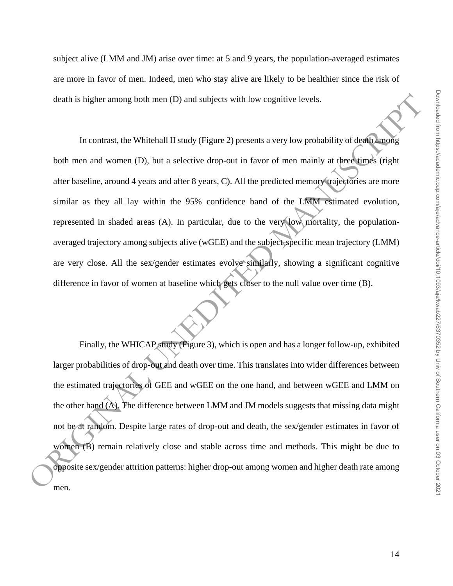subject alive (LMM and JM) arise over time: at 5 and 9 years, the population-averaged estimates are more in favor of men. Indeed, men who stay alive are likely to be healthier since the risk of death is higher among both men (D) and subjects with low cognitive levels.

In contrast, the Whitehall II study (Figure 2) presents a very low probability of death among both men and women (D), but a selective drop-out in favor of men mainly at three times (right after baseline, around 4 years and after 8 years, C). All the predicted memory trajectories are more similar as they all lay within the 95% confidence band of the LMM estimated evolution, represented in shaded areas (A). In particular, due to the very low mortality, the populationaveraged trajectory among subjects alive (wGEE) and the subject-specific mean trajectory (LMM) are very close. All the sex/gender estimates evolve similarly, showing a significant cognitive difference in favor of women at baseline which gets closer to the null value over time (B). The mean (D) and subjects with low cognitive levels.<br>
Suitehall II study (Figure 2) presents a very low probability of death among<br>
the suitehall II study (Figure 2) presents a very low probability of death among<br>
the sear

Finally, the WHICAP study (Figure 3), which is open and has a longer follow-up, exhibited larger probabilities of drop-out and death over time. This translates into wider differences between the estimated trajectories of GEE and wGEE on the one hand, and between wGEE and LMM on the other hand  $(A)$ . The difference between LMM and JM models suggests that missing data might not be at random. Despite large rates of drop-out and death, the sex/gender estimates in favor of women (B) remain relatively close and stable across time and methods. This might be due to the estimated trajectories of GEE and wGEE on the one hand, and between wGEE and LMM on<br>the other hand (A). The difference between LMM and JM models suggests that missing data might<br>not be at random. Despite large rates of men.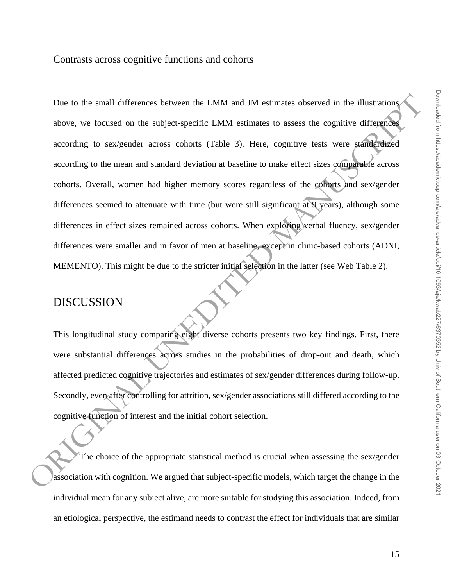Due to the small differences between the LMM and JM estimates observed in the illustrations above, we focused on the subject-specific LMM estimates to assess the cognitive difference according to sex/gender across cohorts (Table 3). Here, cognitive tests were standardized according to the mean and standard deviation at baseline to make effect sizes comparable across cohorts. Overall, women had higher memory scores regardless of the cohorts and sex/gender differences seemed to attenuate with time (but were still significant at 9 years), although some differences in effect sizes remained across cohorts. When exploring verbal fluency, sex/gender differences were smaller and in favor of men at baseline, except in clinic-based cohorts (ADNI, MEMENTO). This might be due to the stricter initial selection in the latter (see Web Table 2). Due to the small differences between the LMM and JM estimates observed in the illustrations<br>above, we focused on the subject-specific LMM estimates to assess the cognitive differences<br>according to sex/gender across cohorts

## DISCUSSION

This longitudinal study comparing eight diverse cohorts presents two key findings. First, there were substantial differences across studies in the probabilities of drop-out and death, which affected predicted cognitive trajectories and estimates of sex/gender differences during follow-up. Secondly, even after controlling for attrition, sex/gender associations still differed according to the cognitive function of interest and the initial cohort selection.

The choice of the appropriate statistical method is crucial when assessing the sex/gender association with cognition. We argued that subject-specific models, which target the change in the individual mean for any subject alive, are more suitable for studying this association. Indeed, from an etiological perspective, the estimand needs to contrast the effect for individuals that are similar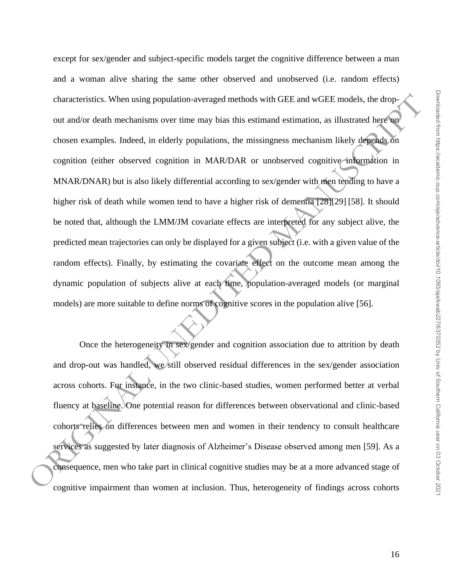except for sex/gender and subject-specific models target the cognitive difference between a man and a woman alive sharing the same other observed and unobserved (i.e. random effects) characteristics. When using population-averaged methods with GEE and wGEE models, the dropout and/or death mechanisms over time may bias this estimand estimation, as illustrated here on chosen examples. Indeed, in elderly populations, the missingness mechanism likely depends on cognition (either observed cognition in MAR/DAR or unobserved cognitive information in MNAR/DNAR) but is also likely differential according to sex/gender with men tending to have a higher risk of death while women tend to have a higher risk of dementia [28][29] [58]. It should be noted that, although the LMM/JM covariate effects are interpreted for any subject alive, the predicted mean trajectories can only be displayed for a given subject (i.e. with a given value of the random effects). Finally, by estimating the covariate effect on the outcome mean among the dynamic population of subjects alive at each time, population-averaged models (or marginal models) are more suitable to define norms of cognitive scores in the population alive [56]. is a propulation-averaged methods with GEE and wGEE models, the drop-<br>sms over time may bias this estimand estimation, as illustrated here on<br>in elderly populations, the missingness mechanism likely depends on<br>ed cognition

Once the heterogeneity in sex/gender and cognition association due to attrition by death and drop-out was handled, we still observed residual differences in the sex/gender association across cohorts. For instance, in the two clinic-based studies, women performed better at verbal fluency at baseline. One potential reason for differences between observational and clinic-based cohorts relies on differences between men and women in their tendency to consult healthcare services as suggested by later diagnosis of Alzheimer's Disease observed among men [59]. As a and drop out was handled, we said observed residual directiones in the sex gender association<br>across cohorts. For instance, in the two clinic-based studies, women performed better at verbal<br>fluency at baseline. One potenti cognitive impairment than women at inclusion. Thus, heterogeneity of findings across cohorts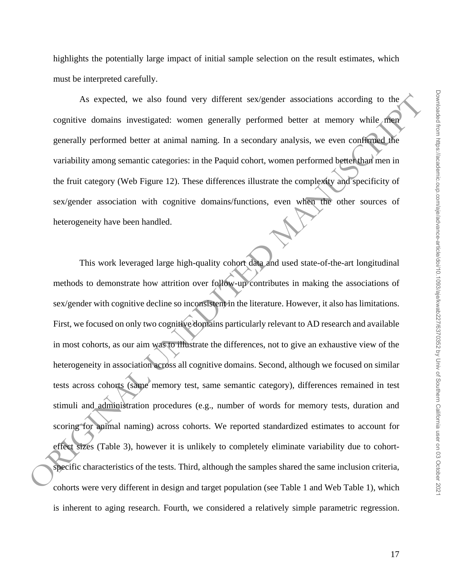highlights the potentially large impact of initial sample selection on the result estimates, which must be interpreted carefully.

As expected, we also found very different sex/gender associations according to the cognitive domains investigated: women generally performed better at memory while men generally performed better at animal naming. In a secondary analysis, we even confirmed the variability among semantic categories: in the Paquid cohort, women performed better than men in the fruit category (Web Figure 12). These differences illustrate the complexity and specificity of sex/gender association with cognitive domains/functions, even when the other sources of heterogeneity have been handled.

This work leveraged large high-quality cohort data and used state-of-the-art longitudinal methods to demonstrate how attrition over follow-up contributes in making the associations of sex/gender with cognitive decline so inconsistent in the literature. However, it also has limitations. First, we focused on only two cognitive domains particularly relevant to AD research and available in most cohorts, as our aim was to illustrate the differences, not to give an exhaustive view of the heterogeneity in association across all cognitive domains. Second, although we focused on similar tests across cohorts (same memory test, same semantic category), differences remained in test stimuli and administration procedures (e.g., number of words for memory tests, duration and scoring for animal naming) across cohorts. We reported standardized estimates to account for effect sizes (Table 3), however it is unlikely to completely eliminate variability due to cohortspecific characteristics of the tests. Third, although the samples shared the same inclusion criteria, cohorts were very different in design and target population (see Table 1 and Web Table 1), which is inherent to aging research. Fourth, we considered a relatively simple parametric regression. As expected, we also from<br>d very different sexigender associations according to the<br>equative domains investigated: women generally performed better at memory while, memory<br>generally performed better at animal aanting. In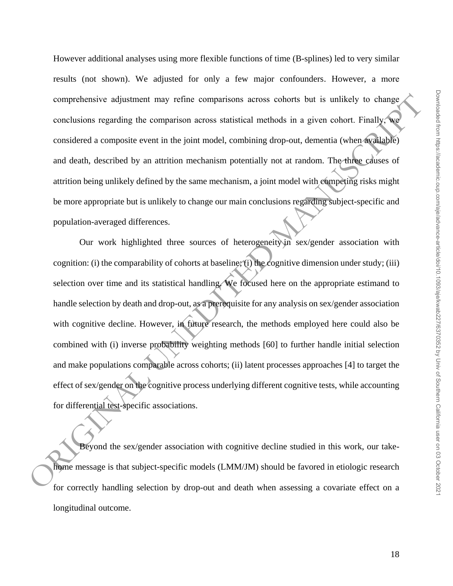However additional analyses using more flexible functions of time (B-splines) led to very similar results (not shown). We adjusted for only a few major confounders. However, a more comprehensive adjustment may refine comparisons across cohorts but is unlikely to change conclusions regarding the comparison across statistical methods in a given cohort. Finally, we considered a composite event in the joint model, combining drop-out, dementia (when available) and death, described by an attrition mechanism potentially not at random. The three causes of attrition being unlikely defined by the same mechanism, a joint model with competing risks might be more appropriate but is unlikely to change our main conclusions regarding subject-specific and population-averaged differences.

Our work highlighted three sources of heterogeneity in sex/gender association with cognition: (i) the comparability of cohorts at baseline; (i) the cognitive dimension under study; (iii) selection over time and its statistical handling. We focused here on the appropriate estimand to handle selection by death and drop-out, as a prerequisite for any analysis on sex/gender association with cognitive decline. However, in future research, the methods employed here could also be combined with (i) inverse probability weighting methods [60] to further handle initial selection and make populations comparable across cohorts; (ii) latent processes approaches [4] to target the effect of sex/gender on the cognitive process underlying different cognitive tests, while accounting for differential test-specific associations. comprehensive adjustment may refine comparisons across coborts but is unlikely to change<br>conclusions regarding the comparison across statistical methods in a given cohort. Finally<br>considered a composite event in the joint

Beyond the sex/gender association with cognitive decline studied in this work, our takehome message is that subject-specific models (LMM/JM) should be favored in etiologic research for correctly handling selection by drop-out and death when assessing a covariate effect on a longitudinal outcome.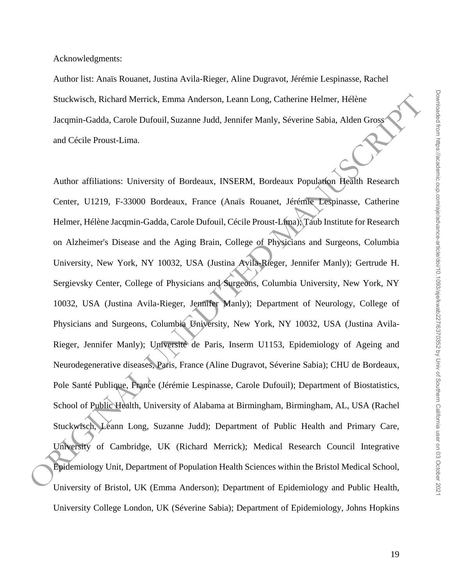Acknowledgments:

Author list: Anaïs Rouanet, Justina Avila-Rieger, Aline Dugravot, Jérémie Lespinasse, Rachel Stuckwisch, Richard Merrick, Emma Anderson, Leann Long, Catherine Helmer, Hélène Jacqmin-Gadda, Carole Dufouil, Suzanne Judd, Jennifer Manly, Séverine Sabia, Alden Gross and Cécile Proust-Lima.

Author affiliations: University of Bordeaux, INSERM, Bordeaux Population Health Research Center, U1219, F-33000 Bordeaux, France (Anaïs Rouanet, Jérémie Lespinasse, Catherine Helmer, Hélène Jacqmin-Gadda, Carole Dufouil, Cécile Proust-Lima); Taub Institute for Research on Alzheimer's Disease and the Aging Brain, College of Physicians and Surgeons, Columbia University, New York, NY 10032, USA (Justina Avila-Rieger, Jennifer Manly); Gertrude H. Sergievsky Center, College of Physicians and Surgeons, Columbia University, New York, NY 10032, USA (Justina Avila-Rieger, Jennifer Manly); Department of Neurology, College of Physicians and Surgeons, Columbia University, New York, NY 10032, USA (Justina Avila-Rieger, Jennifer Manly); Université de Paris, Inserm U1153, Epidemiology of Ageing and Neurodegenerative diseases, Paris, France (Aline Dugravot, Séverine Sabia); CHU de Bordeaux, Pole Santé Publique, France (Jérémie Lespinasse, Carole Dufouil); Department of Biostatistics, School of Public Health, University of Alabama at Birmingham, Birmingham, AL, USA (Rachel Stuckwisch, Leann Long, Suzanne Judd); Department of Public Health and Primary Care, University of Cambridge, UK (Richard Merrick); Medical Research Council Integrative Epidemiology Unit, Department of Population Health Sciences within the Bristol Medical School, University of Bristol, UK (Emma Anderson); Department of Epidemiology and Public Health, University College London, UK (Séverine Sabia); Department of Epidemiology, Johns Hopkins Stuckwisch, Richard Merrick, Emma Anderson, Leann Long, Catherine Helmer, Hélène<br>Jacqmin-Gadda, Carole Dufouil, Suzanne Judd, Jennifer Manly, Séverine Sabin, Alden Gross<br>And Cécile Proust-Lima.<br>Author affiliations: Univers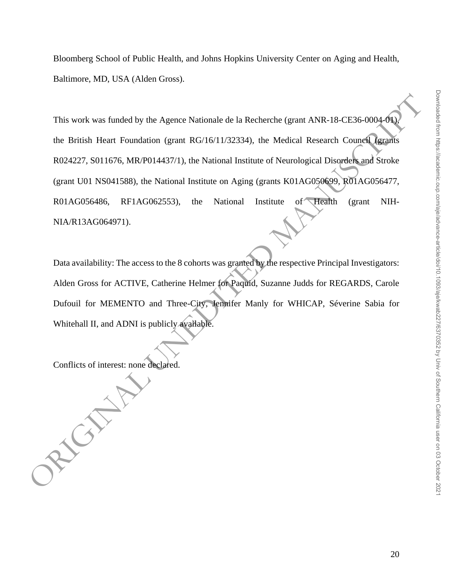Bloomberg School of Public Health, and Johns Hopkins University Center on Aging and Health, Baltimore, MD, USA (Alden Gross).

This work was funded by the Agence Nationale de la Recherche (grant ANR-18-CE36-0004-01), the British Heart Foundation (grant RG/16/11/32334), the Medical Research Council (grants R024227, S011676, MR/P014437/1), the National Institute of Neurological Disorders and Stroke (grant U01 NS041588), the National Institute on Aging (grants K01AG050699, R01AG056477, R01AG056486, RF1AG062553), the National Institute of Health (grant NIH-NIA/R13AG064971). This work was funded by the Agence Nationale de la Recherche (gramt ANR-18-CH-36-8004-00)<br>
the British Heart Foundation (gramt RG/16/11/32334), the Medical Research Counces Regards<br>
RG24227, 8011676, MR/P014437/1), the Nat

Data availability: The access to the 8 cohorts was granted by the respective Principal Investigators: Alden Gross for ACTIVE, Catherine Helmer for Paquid, Suzanne Judds for REGARDS, Carole Dufouil for MEMENTO and Three-City, Jennifer Manly for WHICAP, Séverine Sabia for Whitehall II, and ADNI is publicly available.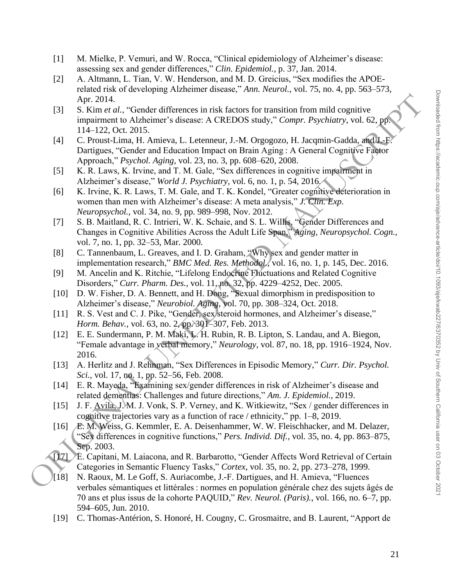- [1] M. Mielke, P. Vemuri, and W. Rocca, "Clinical epidemiology of Alzheimer's disease: assessing sex and gender differences," *Clin. Epidemiol.*, p. 37, Jan. 2014.
- [2] A. Altmann, L. Tian, V. W. Henderson, and M. D. Greicius, "Sex modifies the APOErelated risk of developing Alzheimer disease," *Ann. Neurol.*, vol. 75, no. 4, pp. 563–573, Apr. 2014.
- [3] S. Kim *et al.*, "Gender differences in risk factors for transition from mild cognitive impairment to Alzheimer's disease: A CREDOS study," *Compr. Psychiatry*, vol. 62, pp. 114–122, Oct. 2015.
- [4] C. Proust-Lima, H. Amieva, L. Letenneur, J.-M. Orgogozo, H. Jacqmin-Gadda, and J.-F. Dartigues, "Gender and Education Impact on Brain Aging : A General Cognitive Factor Approach," *Psychol. Aging*, vol. 23, no. 3, pp. 608–620, 2008.
- [5] K. R. Laws, K. Irvine, and T. M. Gale, "Sex differences in cognitive impairment in Alzheimer's disease," *World J. Psychiatry*, vol. 6, no. 1, p. 54, 2016.
- [6] K. Irvine, K. R. Laws, T. M. Gale, and T. K. Kondel, "Greater cognitive deterioration in women than men with Alzheimer's disease: A meta analysis," *J. Clin. Exp. Neuropsychol.*, vol. 34, no. 9, pp. 989–998, Nov. 2012.
- [7] S. B. Maitland, R. C. Intrieri, W. K. Schaie, and S. L. Willis, "Gender Differences and Changes in Cognitive Abilities Across the Adult Life Span," *Aging, Neuropsychol. Cogn.*, vol. 7, no. 1, pp. 32–53, Mar. 2000. Apr. 2014.<br>
26. Kim et el., "Grader differences in risk factors for transition from mild cognitive<br>
impairment to Alvisimer's disease. A CREDOS study," Compr. Psychiatry, vol. 62, pp<br>
114–122, Oct. 2015.<br>
141–122. Oct. 20
	- [8] C. Tannenbaum, L. Greaves, and I. D. Graham, "Why sex and gender matter in implementation research," *BMC Med. Res. Methodol.*, vol. 16, no. 1, p. 145, Dec. 2016.
	- [9] M. Ancelin and K. Ritchie, "Lifelong Endocrine Fluctuations and Related Cognitive Disorders," *Curr. Pharm. Des.*, vol. 11, no. 32, pp. 4229–4252, Dec. 2005.
	- [10] D. W. Fisher, D. A. Bennett, and H. Dong, "Sexual dimorphism in predisposition to Alzheimer's disease," *Neurobiol. Aging*, vol. 70, pp. 308–324, Oct. 2018.
	- [11] R. S. Vest and C. J. Pike, "Gender, sex steroid hormones, and Alzheimer's disease," *Horm. Behav.*, vol. 63, no. 2, pp. 301–307, Feb. 2013.
	- [12] E. E. Sundermann, P. M. Maki, L. H. Rubin, R. B. Lipton, S. Landau, and A. Biegon, "Female advantage in verbal memory," *Neurology*, vol. 87, no. 18, pp. 1916–1924, Nov. 2016.
	- [13] A. Herlitz and J. Rehnman, "Sex Differences in Episodic Memory," *Curr. Dir. Psychol. Sci.*, vol. 17, no. 1, pp. 52–56, Feb. 2008.
	- [14] E. R. Mayeda, "Examining sex/gender differences in risk of Alzheimer's disease and related dementias: Challenges and future directions," *Am. J. Epidemiol.*, 2019.
	- [15] J. F. Avila, J. M. J. Vonk, S. P. Verney, and K. Witkiewitz, "Sex / gender differences in cognitive trajectories vary as a function of race / ethnicity," pp. 1–8, 2019.
	- [16] E. M. Weiss, G. Kemmler, E. A. Deisenhammer, W. W. Fleischhacker, and M. Delazer, "Sex differences in cognitive functions," *Pers. Individ. Dif.*, vol. 35, no. 4, pp. 863–875, Sep. 2003.
	- [17] E. Capitani, M. Laiacona, and R. Barbarotto, "Gender Affects Word Retrieval of Certain Categories in Semantic Fluency Tasks," *Cortex*, vol. 35, no. 2, pp. 273–278, 1999.
	- [18] N. Raoux, M. Le Goff, S. Auriacombe, J.-F. Dartigues, and H. Amieva, "Fluences verbales sémantiques et littérales : normes en population générale chez des sujets âgés de 70 ans et plus issus de la cohorte PAQUID," *Rev. Neurol. (Paris).*, vol. 166, no. 6–7, pp. 594–605, Jun. 2010.
	- [19] C. Thomas-Antérion, S. Honoré, H. Cougny, C. Grosmaitre, and B. Laurent, "Apport de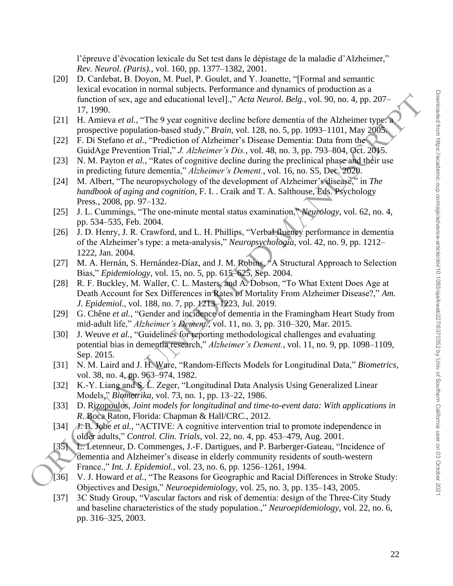l'épreuve d'évocation lexicale du Set test dans le dépistage de la maladie d'Alzheimer," *Rev. Neurol. (Paris).*, vol. 160, pp. 1377–1382, 2001.

- [20] D. Cardebat, B. Doyon, M. Puel, P. Goulet, and Y. Joanette, "[Formal and semantic lexical evocation in normal subjects. Performance and dynamics of production as a function of sex, age and educational level].," *Acta Neurol. Belg.*, vol. 90, no. 4, pp. 207– 17, 1990.
- [21] H. Amieva *et al.*, "The 9 year cognitive decline before dementia of the Alzheimer type: a prospective population-based study," *Brain*, vol. 128, no. 5, pp. 1093–1101, May 2005.
- [22] F. Di Stefano *et al.*, "Prediction of Alzheimer's Disease Dementia: Data from the GuidAge Prevention Trial," *J. Alzheimer's Dis.*, vol. 48, no. 3, pp. 793–804, Oct. 2015.
- [23] N. M. Payton *et al.*, "Rates of cognitive decline during the preclinical phase and their use in predicting future dementia," *Alzheimer's Dement.*, vol. 16, no. S5, Dec. 2020.
- [24] M. Albert, "The neuropsychology of the development of Alzheimer's disease," in *The handbook of aging and cognition*, F. I. . Craik and T. A. Salthouse, Eds. Psychology Press., 2008, pp. 97–132.
- [25] J. L. Cummings, "The one-minute mental status examination," *Neurology*, vol. 62, no. 4, pp. 534–535, Feb. 2004.
- [26] J. D. Henry, J. R. Crawford, and L. H. Phillips, "Verbal fluency performance in dementia of the Alzheimer's type: a meta-analysis," *Neuropsychologia*, vol. 42, no. 9, pp. 1212– 1222, Jan. 2004.
- [27] M. A. Hernán, S. Hernández-Díaz, and J. M. Robins, A. Structural Approach to Selection Bias," *Epidemiology*, vol. 15, no. 5, pp. 615–625, Sep. 2004.
- [28] R. F. Buckley, M. Waller, C. L. Masters, and A. Dobson, "To What Extent Does Age at Death Account for Sex Differences in Rates of Mortality From Alzheimer Disease?," *Am. J. Epidemiol.*, vol. 188, no. 7, pp. 1213–1223, Jul. 2019. function of sex, age and educational level)," Acta Neurol,  $\mu$  Rev. 0.9, 0.9, no. 4, rp. 207-<br>
17, 1990.<br>
17, 1990.<br>
19. Armien et ad., "The Syrac papiritie dependents before dementia of the Abelievine type:<br>
2021 E. Dis
	- [29] G. Chêne *et al.*, "Gender and incidence of dementia in the Framingham Heart Study from mid-adult life," *Alzheimer's Dement.*, vol. 11, no. 3, pp. 310–320, Mar. 2015.
	- [30] J. Weuve *et al.*, "Guidelines for reporting methodological challenges and evaluating potential bias in dementia research," *Alzheimer's Dement.*, vol. 11, no. 9, pp. 1098–1109, Sep. 2015.
	- [31] N. M. Laird and J. H. Ware, "Random-Effects Models for Longitudinal Data," *Biometrics*, vol. 38, no. 4, pp. 963–974, 1982.
	- [32] K.-Y. Liang and S. $\Lambda$ . Zeger, "Longitudinal Data Analysis Using Generalized Linear Models," *Biometrika*, vol. 73, no. 1, pp. 13–22, 1986.
	- [33] D. Rizopoulos, *Joint models for longitudinal and time-to-event data: With applications in R*. Boca Raton, Florida: Chapman & Hall/CRC., 2012.
	- [34] *J. B. Jobe et al.*, "ACTIVE: A cognitive intervention trial to promote independence in older adults," *Control. Clin. Trials*, vol. 22, no. 4, pp. 453–479, Aug. 2001.
	- [35] L. Letenneur, D. Commenges, J.-F. Dartigues, and P. Barberger-Gateau, "Incidence of dementia and Alzheimer's disease in elderly community residents of south-western France.," *Int. J. Epidemiol.*, vol. 23, no. 6, pp. 1256–1261, 1994.
	- [36] V. J. Howard *et al.*, "The Reasons for Geographic and Racial Differences in Stroke Study: Objectives and Design," *Neuroepidemiology*, vol. 25, no. 3, pp. 135–143, 2005.
	- [37] 3C Study Group, "Vascular factors and risk of dementia: design of the Three-City Study and baseline characteristics of the study population.," *Neuroepidemiology*, vol. 22, no. 6, pp. 316–325, 2003.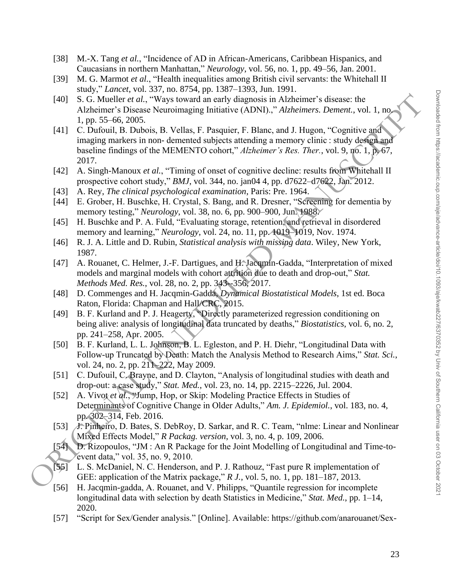- [38] M.-X. Tang *et al.*, "Incidence of AD in African-Americans, Caribbean Hispanics, and Caucasians in northern Manhattan," *Neurology*, vol. 56, no. 1, pp. 49–56, Jan. 2001.
- [39] M. G. Marmot *et al.*, "Health inequalities among British civil servants: the Whitehall II study," *Lancet*, vol. 337, no. 8754, pp. 1387–1393, Jun. 1991.
- [40] S. G. Mueller *et al.*, "Ways toward an early diagnosis in Alzheimer's disease: the Alzheimer's Disease Neuroimaging Initiative (ADNI).," *Alzheimers. Dement.*, vol. 1, no. 1, pp. 55–66, 2005.
- [41] C. Dufouil, B. Dubois, B. Vellas, F. Pasquier, F. Blanc, and J. Hugon, "Cognitive and imaging markers in non- demented subjects attending a memory clinic : study design and baseline findings of the MEMENTO cohort," *Alzheimer's Res. Ther.*, vol. 9, no. 1, p. 67, 2017. (40) S. C. Mueller et al., "Was towered an early diagnonis in Al-hismor-s disease. the simulation of the simulation of the simulation of the simulation of the simulation of the simulation of the simulation of the simulati
	- [42] A. Singh-Manoux *et al.*, "Timing of onset of cognitive decline: results from Whitehall II prospective cohort study," *BMJ*, vol. 344, no. jan04 4, pp. d7622–d7622, Jan. 2012.
	- [43] A. Rey, *The clinical psychological examination*, Paris: Pre. 1964.
	- [44] E. Grober, H. Buschke, H. Crystal, S. Bang, and R. Dresner, "Screening for dementia by memory testing," *Neurology*, vol. 38, no. 6, pp. 900–900, Jun. 1988.
	- [45] H. Buschke and P. A. Fuld, "Evaluating storage, retention, and retrieval in disordered memory and learning," *Neurology*, vol. 24, no. 11, pp. 1019–1019, Nov. 1974.
	- [46] R. J. A. Little and D. Rubin, *Statistical analysis with missing data*. Wiley, New York, 1987.
	- [47] A. Rouanet, C. Helmer, J.-F. Dartigues, and H. Jacqmin-Gadda, "Interpretation of mixed models and marginal models with cohort attrition due to death and drop-out," *Stat. Methods Med. Res.*, vol. 28, no. 2, pp. 343--356, 2017.
	- [48] D. Commenges and H. Jacqmin-Gadda, *Dynamical Biostatistical Models*, 1st ed. Boca Raton, Florida: Chapman and Hall/CRC, 2015.
	- [49] B. F. Kurland and P. J. Heagerty, "Directly parameterized regression conditioning on being alive: analysis of longitudinal data truncated by deaths," *Biostatistics*, vol. 6, no. 2, pp. 241–258, Apr. 2005.
	- [50] B. F. Kurland, L. L. Johnson, B. L. Egleston, and P. H. Diehr, "Longitudinal Data with Follow-up Truncated by Death: Match the Analysis Method to Research Aims," *Stat. Sci.*, vol. 24, no. 2, pp. 211–222, May 2009.
	- [51] C. Dufouil, C. Brayne, and D. Clayton, "Analysis of longitudinal studies with death and drop-out: a case study," *Stat. Med.*, vol. 23, no. 14, pp. 2215–2226, Jul. 2004.
	- [52] A. Vivot *et al.*, "Jump, Hop, or Skip: Modeling Practice Effects in Studies of Determinants of Cognitive Change in Older Adults," *Am. J. Epidemiol.*, vol. 183, no. 4, pp. 302–314, Feb. 2016.
	- [53] J. Pinheiro, D. Bates, S. DebRoy, D. Sarkar, and R. C. Team, "nlme: Linear and Nonlinear Mixed Effects Model," *R Packag. version*, vol. 3, no. 4, p. 109, 2006.
	- [54] D. Rizopoulos, "JM : An R Package for the Joint Modelling of Longitudinal and Time-toevent data," vol. 35, no. 9, 2010.
	- [55] L. S. McDaniel, N. C. Henderson, and P. J. Rathouz, "Fast pure R implementation of GEE: application of the Matrix package," *R J.*, vol. 5, no. 1, pp. 181–187, 2013.
	- [56] H. Jacqmin-gadda, A. Rouanet, and V. Philipps, "Quantile regression for incomplete longitudinal data with selection by death Statistics in Medicine," *Stat. Med.*, pp. 1–14, 2020.
	- [57] "Script for Sex/Gender analysis." [Online]. Available: https://github.com/anarouanet/Sex-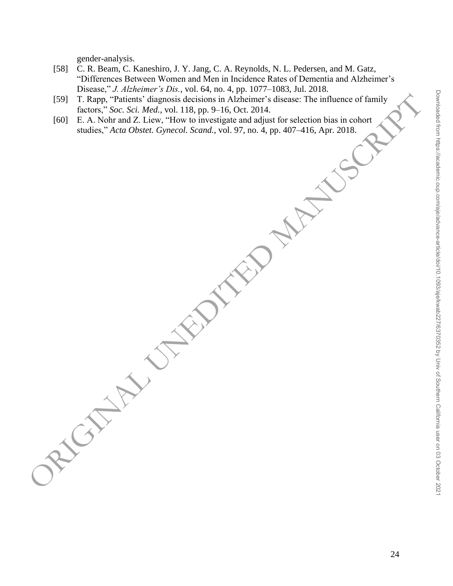gender-analysis.

- [58] C. R. Beam, C. Kaneshiro, J. Y. Jang, C. A. Reynolds, N. L. Pedersen, and M. Gatz, "Differences Between Women and Men in Incidence Rates of Dementia and Alzheimer's Disease," *J. Alzheimer's Dis.*, vol. 64, no. 4, pp. 1077–1083, Jul. 2018.
- [59] T. Rapp, "Patients' diagnosis decisions in Alzheimer's disease: The influence of family factors," *Soc. Sci. Med.*, vol. 118, pp. 9–16, Oct. 2014. [59] T. Rapp. "Patricist" diagnosis decisions in Alcheime" s'diseasc : The influence of family facency." Soc. Sec. Med., vol. 118, pp. 9–16, Oxt. 2014.<br>
[60] E. A. Nohr and Z. Lisw, "How to investigate and adjust for sele
	- [60] E. A. Nohr and Z. Liew, "How to investigate and adjust for selection bias in cohort studies," *Acta Obstet. Gynecol. Scand.*, vol. 97, no. 4, pp. 407–416, Apr. 2018.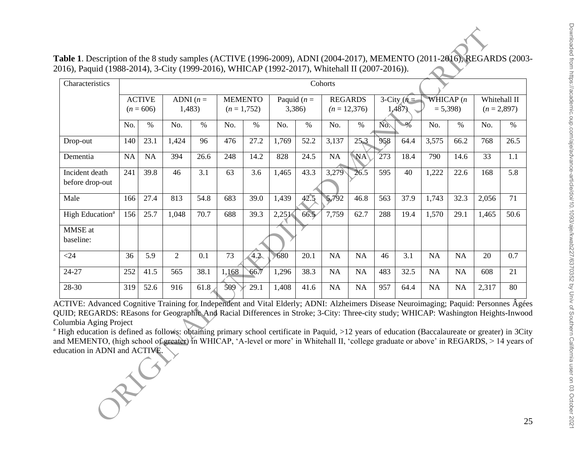| Characteristics                                                                                                                                                                                                                                                                                                                                                                                                                                                                                                                                                                                                                     |           |                              |                       |      |       |                               |       |                          | Cohorts   |                                  |     |                          |                           |      |                               |      |
|-------------------------------------------------------------------------------------------------------------------------------------------------------------------------------------------------------------------------------------------------------------------------------------------------------------------------------------------------------------------------------------------------------------------------------------------------------------------------------------------------------------------------------------------------------------------------------------------------------------------------------------|-----------|------------------------------|-----------------------|------|-------|-------------------------------|-------|--------------------------|-----------|----------------------------------|-----|--------------------------|---------------------------|------|-------------------------------|------|
|                                                                                                                                                                                                                                                                                                                                                                                                                                                                                                                                                                                                                                     |           | <b>ACTIVE</b><br>$(n = 606)$ | ADNI $(n =$<br>1,483) |      |       | <b>MEMENTO</b><br>$(n=1,752)$ |       | Paquid ( $n =$<br>3,386) |           | <b>REGARDS</b><br>$(n = 12,376)$ |     | $3$ -City $(n=$<br>1,487 | WHICAP $(n)$<br>$= 5,398$ |      | Whitehall II<br>$(n = 2,897)$ |      |
|                                                                                                                                                                                                                                                                                                                                                                                                                                                                                                                                                                                                                                     | No.       | $\%$                         | No.                   | $\%$ | No.   | $\%$                          | No.   | $\%$                     | No.       | $\%$                             | No. | $\frac{9}{6}$            | No.                       | $\%$ | No.                           | $\%$ |
| Drop-out                                                                                                                                                                                                                                                                                                                                                                                                                                                                                                                                                                                                                            | 140       | 23.1                         | 1,424                 | 96   | 476   | 27.2                          | 1,769 | 52.2                     | 3,137     | 25.3                             | 958 | 64.4                     | 3,575                     | 66.2 | 768                           | 26.5 |
| Dementia                                                                                                                                                                                                                                                                                                                                                                                                                                                                                                                                                                                                                            | <b>NA</b> | <b>NA</b>                    | 394                   | 26.6 | 248   | 14.2                          | 828   | 24.5                     | <b>NA</b> | NA                               | 273 | 18.4                     | 790                       | 14.6 | 33                            | 1.1  |
| Incident death<br>before drop-out                                                                                                                                                                                                                                                                                                                                                                                                                                                                                                                                                                                                   | 241       | 39.8                         | 46                    | 3.1  | 63    | 3.6                           | 1,465 | 43.3                     | 3,279     | 26.5                             | 595 | 40                       | 1,222                     | 22.6 | 168                           | 5.8  |
| Male                                                                                                                                                                                                                                                                                                                                                                                                                                                                                                                                                                                                                                | 166       | 27.4                         | 813                   | 54.8 | 683   | 39.0                          | 1,439 | 42.5                     | 5,792     | 46.8                             | 563 | 37.9                     | 1,743                     | 32.3 | 2,056                         | 71   |
| High Education <sup>a</sup>                                                                                                                                                                                                                                                                                                                                                                                                                                                                                                                                                                                                         | 156       | 25.7                         | 1,048                 | 70.7 | 688   | 39.3                          | 2,251 | 66.5                     | 7,759     | 62.7                             | 288 | 19.4                     | 1,570                     | 29.1 | 1,465                         | 50.6 |
| MMSE at<br>baseline:                                                                                                                                                                                                                                                                                                                                                                                                                                                                                                                                                                                                                |           |                              |                       |      |       |                               |       |                          |           |                                  |     |                          |                           |      |                               |      |
| $<$ 24                                                                                                                                                                                                                                                                                                                                                                                                                                                                                                                                                                                                                              | 36        | 5.9                          | 2                     | 0.1  | 73    | 4.2                           | 680   | 20.1                     | <b>NA</b> | NA                               | 46  | 3.1                      | <b>NA</b>                 | NA   | 20                            | 0.7  |
| 24-27                                                                                                                                                                                                                                                                                                                                                                                                                                                                                                                                                                                                                               | 252       | 41.5                         | 565                   | 38.1 | 1,168 | 66.7                          | 1,296 | 38.3                     | NA        | <b>NA</b>                        | 483 | 32.5                     | <b>NA</b>                 | NA   | 608                           | 21   |
| 28-30                                                                                                                                                                                                                                                                                                                                                                                                                                                                                                                                                                                                                               | 319       | 52.6                         | 916                   | 61.8 | 509   | 29.1                          | 1,408 | 41.6                     | NA        | NA                               | 957 | 64.4                     | <b>NA</b>                 | NA   | 2,317                         | 80   |
| CTIVE: Advanced Cognitive Training for Independent and Vital Elderly; ADNI: Alzheimers Disease Neuroimaging; Paquid: Personnes Âgé<br>QUID; REGARDS: REasons for Geographic And Racial Differences in Stroke; 3-City: Three-city study; WHICAP: Washington Heights-Inwo<br><b>Columbia Aging Project</b><br>High education is defined as follows: obtaining primary school certificate in Paquid, >12 years of education (Baccalaureate or greater) in 3Ci<br>nd MEMENTO, (high school of greater) in WHICAP, 'A-level or more' in Whitehall II, 'college graduate or above' in REGARDS, > 14 years<br>ducation in ADNI and ACTIVE. |           | MACTLES                      |                       |      |       |                               |       |                          |           |                                  |     |                          |                           |      |                               |      |

**Table 1**. Description of the 8 study samples (ACTIVE (1996-2009), ADNI (2004-2017), MEMENTO (2011-2016), REGARDS (2003- 2016), Paquid (1988-2014), 3-City (1999-2016), WHICAP (1992-2017), Whitehall II (2007-2016)).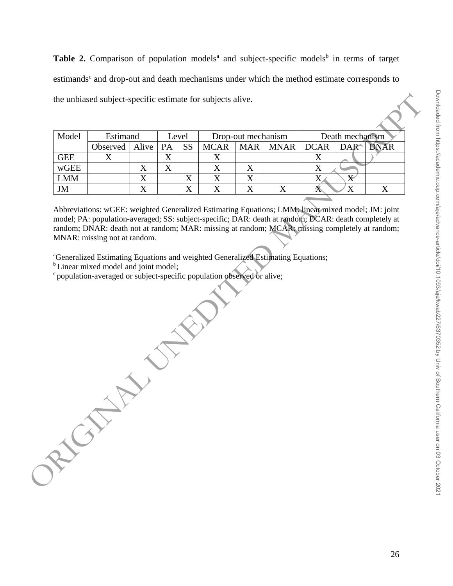Table 2. Comparison of population models<sup>a</sup> and subject-specific models<sup>b</sup> in terms of target estimands<sup>c</sup> and drop-out and death mechanisms under which the method estimate corresponds to the unbiased subject-specific estimate for subjects alive.

| Model      | Estimand              | Level                     |              |             | Drop-out mechanism |             |   | Death mechanism  |             |
|------------|-----------------------|---------------------------|--------------|-------------|--------------------|-------------|---|------------------|-------------|
|            | Observed   Alive   PA |                           | <b>SS</b>    | <b>MCAR</b> | MAR                | MNAR   DCAR |   | DAR <sup>-</sup> | <b>DNAR</b> |
| <b>GEE</b> |                       | Λ                         |              |             |                    |             | ∡ |                  |             |
| wGEE       |                       | $\mathbf{x}$<br>$\Lambda$ |              |             |                    |             |   |                  |             |
| <b>LMM</b> |                       |                           | $\mathbf{x}$ |             | $\mathbf{x}$       |             |   |                  |             |
| JM         |                       |                           | $\mathbf{x}$ |             | ٦z                 |             |   |                  |             |

Abbreviations: wGEE: weighted Generalized Estimating Equations; LMM: linear mixed model; JM: joint model; PA: population-averaged; SS: subject-specific; DAR: death at random; DCAR: death completely at random; DNAR: death not at random; MAR: missing at random; MCAR: missing completely at random; MNAR: missing not at random.

<sup>a</sup>Generalized Estimating Equations and weighted Generalized Estimating Equations;

<sup>b</sup> Linear mixed model and joint model;

RIGINAL UNED

<sup>c</sup> population-averaged or subject-specific population observed or alive;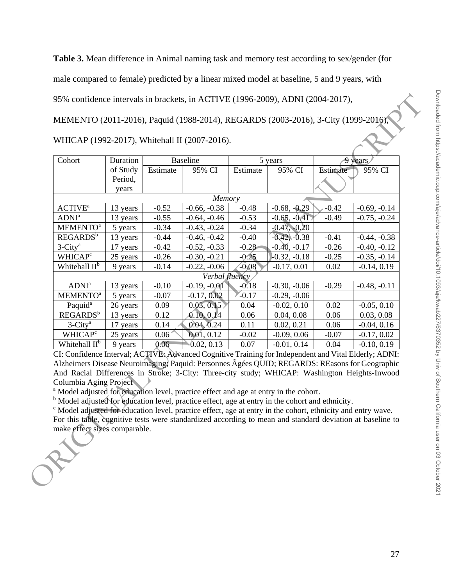**Table 3.** Mean difference in Animal naming task and memory test according to sex/gender (for

male compared to female) predicted by a linear mixed model at baseline, 5 and 9 years, with

| Cohort                                                                                                                                                                                                                                                                                                                                                                                                                                                                                                                                                                                                                                                                                                                | Duration |          | <b>Baseline</b> |          | 5 years        | 9 years  |                |  |
|-----------------------------------------------------------------------------------------------------------------------------------------------------------------------------------------------------------------------------------------------------------------------------------------------------------------------------------------------------------------------------------------------------------------------------------------------------------------------------------------------------------------------------------------------------------------------------------------------------------------------------------------------------------------------------------------------------------------------|----------|----------|-----------------|----------|----------------|----------|----------------|--|
|                                                                                                                                                                                                                                                                                                                                                                                                                                                                                                                                                                                                                                                                                                                       | of Study | Estimate | 95% CI          | Estimate | 95% CI         | Estimate | 95% CI         |  |
|                                                                                                                                                                                                                                                                                                                                                                                                                                                                                                                                                                                                                                                                                                                       | Period,  |          |                 |          |                |          |                |  |
|                                                                                                                                                                                                                                                                                                                                                                                                                                                                                                                                                                                                                                                                                                                       | years    |          |                 |          |                |          |                |  |
|                                                                                                                                                                                                                                                                                                                                                                                                                                                                                                                                                                                                                                                                                                                       |          |          | Memory          |          |                |          |                |  |
| ACTIVE <sup>a</sup>                                                                                                                                                                                                                                                                                                                                                                                                                                                                                                                                                                                                                                                                                                   | 13 years | $-0.52$  | $-0.66, -0.38$  | $-0.48$  | $-0.68, -0.29$ | $-0.42$  | $-0.69, -0.14$ |  |
| <b>ADNI</b> <sup>a</sup>                                                                                                                                                                                                                                                                                                                                                                                                                                                                                                                                                                                                                                                                                              | 13 years | $-0.55$  | $-0.64, -0.46$  | $-0.53$  | $-0.65, -0.41$ | $-0.49$  | $-0.75, -0.24$ |  |
| <b>MEMENTO</b> <sup>a</sup>                                                                                                                                                                                                                                                                                                                                                                                                                                                                                                                                                                                                                                                                                           | 5 years  | $-0.34$  | $-0.43, -0.24$  | $-0.34$  | $-0.47,-0.20$  |          |                |  |
| <b>REGARDS</b> <sup>b</sup>                                                                                                                                                                                                                                                                                                                                                                                                                                                                                                                                                                                                                                                                                           | 13 years | $-0.44$  | $-0.46, -0.42$  | $-0.40$  | $-0.42,-0.38$  | $-0.41$  | $-0.44, -0.38$ |  |
| $3-Citya$                                                                                                                                                                                                                                                                                                                                                                                                                                                                                                                                                                                                                                                                                                             | 17 years | $-0.42$  | $-0.52, -0.33$  | $-0.28$  | $-0.40, -0.17$ | $-0.26$  | $-0.40, -0.12$ |  |
| <b>WHICAP</b> <sup>c</sup>                                                                                                                                                                                                                                                                                                                                                                                                                                                                                                                                                                                                                                                                                            | 25 years | $-0.26$  | $-0.30, -0.21$  | $-0.25$  | $-0.32, -0.18$ | $-0.25$  | $-0.35, -0.14$ |  |
| Whitehall $\Pi^{\mathfrak{b}}$                                                                                                                                                                                                                                                                                                                                                                                                                                                                                                                                                                                                                                                                                        | 9 years  | $-0.14$  | $-0.22, -0.06$  | $-0.08$  | $-0.17, 0.01$  | 0.02     | $-0.14, 0.19$  |  |
|                                                                                                                                                                                                                                                                                                                                                                                                                                                                                                                                                                                                                                                                                                                       |          |          | Verbal fluency  |          |                |          |                |  |
| ADNI <sup>a</sup>                                                                                                                                                                                                                                                                                                                                                                                                                                                                                                                                                                                                                                                                                                     | 13 years | $-0.10$  | $-0.19, -0.01$  | $-0.18$  | $-0.30, -0.06$ | $-0.29$  | $-0.48, -0.11$ |  |
| <b>MEMENTO</b> <sup>a</sup>                                                                                                                                                                                                                                                                                                                                                                                                                                                                                                                                                                                                                                                                                           | 5 years  | $-0.07$  | $-0.17, 0.02$   | $-0.17$  | $-0.29, -0.06$ |          |                |  |
| Paquid <sup>a</sup>                                                                                                                                                                                                                                                                                                                                                                                                                                                                                                                                                                                                                                                                                                   | 26 years | 0.09     | 0.03, 0.15      | 0.04     | $-0.02, 0.10$  | 0.02     | $-0.05, 0.10$  |  |
| <b>REGARDS</b> <sup>b</sup>                                                                                                                                                                                                                                                                                                                                                                                                                                                                                                                                                                                                                                                                                           | 13 years | 0.12     | 0.10, 0.14      | 0.06     | 0.04, 0.08     | 0.06     | 0.03, 0.08     |  |
| $3$ -City <sup>a</sup>                                                                                                                                                                                                                                                                                                                                                                                                                                                                                                                                                                                                                                                                                                | 17 years | 0.14     | 0.04, 0.24      | 0.11     | 0.02, 0.21     | 0.06     | $-0.04, 0.16$  |  |
| <b>WHICAP</b> <sup>c</sup>                                                                                                                                                                                                                                                                                                                                                                                                                                                                                                                                                                                                                                                                                            | 25 years | 0.06     | 0.01, 0.12      | $-0.02$  | $-0.09, 0.06$  | $-0.07$  | $-0.17, 0.02$  |  |
| Whitehall II <sup>b</sup><br>CI: Confidence Interval; ACTIVE: Advanced Cognitive Training for Independent and Vital Elderly; ADNI:                                                                                                                                                                                                                                                                                                                                                                                                                                                                                                                                                                                    | 9 years  | 0.06     | $-0.02, 0.13$   | 0.07     | $-0.01, 0.14$  | 0.04     | $-0.10, 0.19$  |  |
| Alzheimers Disease Neuroimaging, Paquid: Personnes Âgées QUID; REGARDS: REasons for Geographic<br>And Racial Differences in Stroke; 3-City: Three-city study; WHICAP: Washington Heights-Inwood<br>Columbia Aging Project<br><sup>a</sup> Model adjusted for education level, practice effect and age at entry in the cohort.<br><sup>b</sup> Model adjusted for education level, practice effect, age at entry in the cohort and ethnicity.<br><sup>c</sup> Model adjusted for education level, practice effect, age at entry in the cohort, ethnicity and entry wave.<br>For this table, cognitive tests were standardized according to mean and standard deviation at baseline to<br>make effect sizes comparable. |          |          |                 |          |                |          |                |  |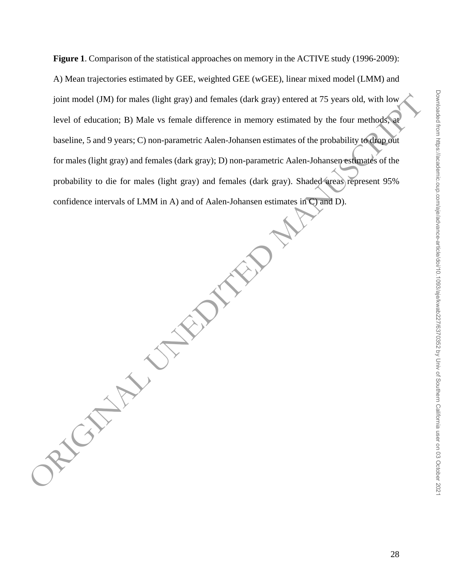**Figure 1**. Comparison of the statistical approaches on memory in the ACTIVE study (1996-2009): A) Mean trajectories estimated by GEE, weighted GEE (wGEE), linear mixed model (LMM) and joint model (JM) for males (light gray) and females (dark gray) entered at 75 years old, with low level of education; B) Male vs female difference in memory estimated by the four methods, at baseline, 5 and 9 years; C) non-parametric Aalen-Johansen estimates of the probability to drop out for males (light gray) and females (dark gray); D) non-parametric Aalen-Johansen estimates of the probability to die for males (light gray) and females (dark gray). Shaded areas represent 95% confidence intervals of LMM in A) and of Aalen-Johansen estimates in C) and D).

RIGINAL UNED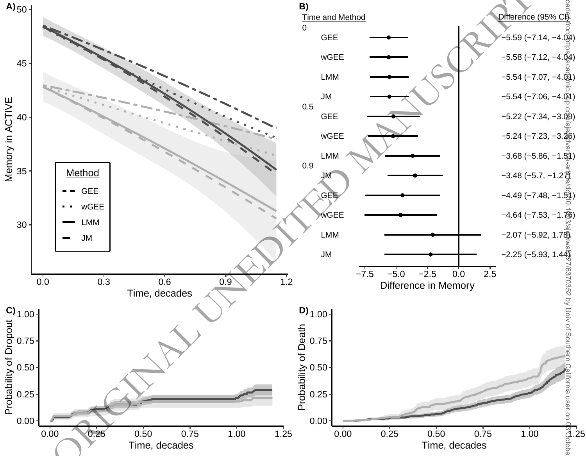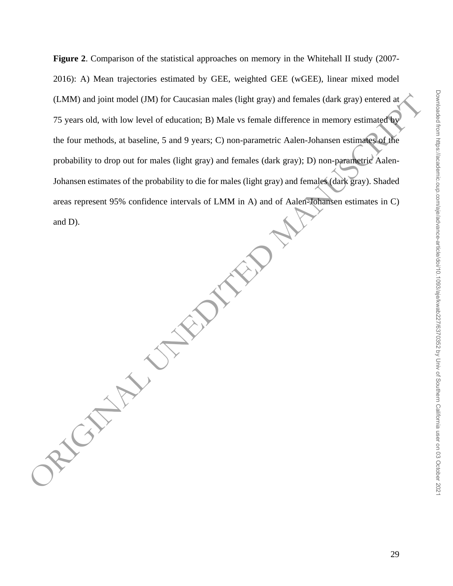**Figure 2**. Comparison of the statistical approaches on memory in the Whitehall II study (2007- 2016): A) Mean trajectories estimated by GEE, weighted GEE (wGEE), linear mixed model (LMM) and joint model (JM) for Caucasian males (light gray) and females (dark gray) entered at 75 years old, with low level of education; B) Male vs female difference in memory estimated by the four methods, at baseline, 5 and 9 years; C) non-parametric Aalen-Johansen estimates of the probability to drop out for males (light gray) and females (dark gray); D) non-parametric Aalen-Johansen estimates of the probability to die for males (light gray) and females (dark gray). Shaded areas represent 95% confidence intervals of LMM in A) and of Aalen-Johansen estimates in C) and D).

RIGINAL UNED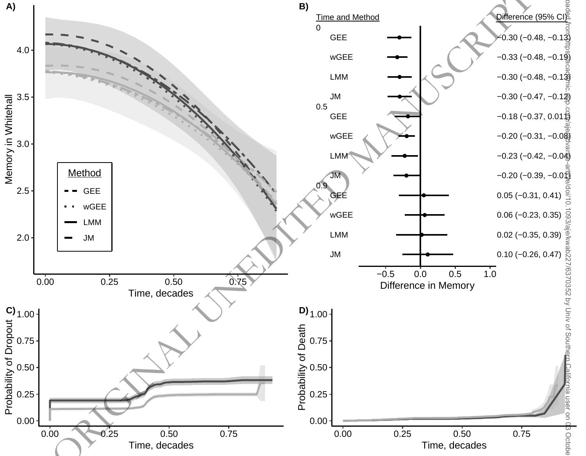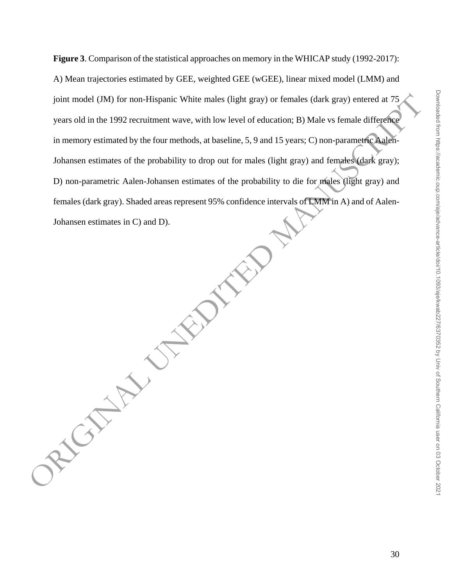**Figure 3**. Comparison of the statistical approaches on memory in the WHICAP study (1992-2017): A) Mean trajectories estimated by GEE, weighted GEE (wGEE), linear mixed model (LMM) and joint model (JM) for non-Hispanic White males (light gray) or females (dark gray) entered at 75 years old in the 1992 recruitment wave, with low level of education; B) Male vs female difference in memory estimated by the four methods, at baseline, 5, 9 and 15 years; C) non-parametric Aalen-Johansen estimates of the probability to drop out for males (light gray) and females (dark gray); D) non-parametric Aalen-Johansen estimates of the probability to die for males (light gray) and females (dark gray). Shaded areas represent 95% confidence intervals of LMM in A) and of Aalen-Johansen estimates in C) and D).

RIGINAL UNED